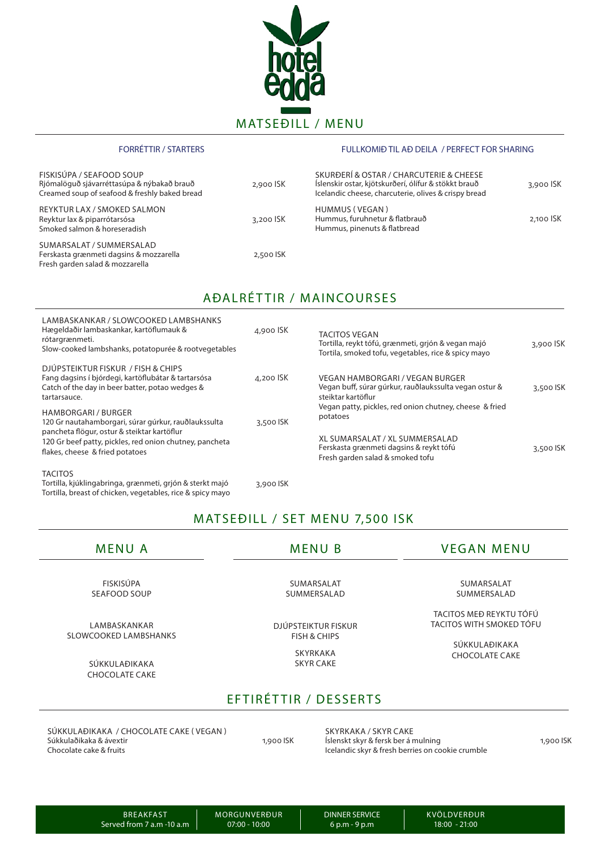

#### FORRÉTTIR / STARTERS FULLKOMIÐ TIL AÐ DEILA / PERFECT FOR SHARING

| FISKISÚPA / SEAFOOD SOUP<br>Riómalöguð sjávarréttasúpa & nýbakað brauð<br>Creamed soup of seafood & freshly baked bread | 2,900 ISK | SKURÐERÍ & OSTAR / CHARCUTERIE & CHEESE<br>Íslenskir ostar, kjötskurðerí, ólífur & stökkt brauð<br>Icelandic cheese, charcuterie, olives & crispy bread | 3,900 ISK |
|-------------------------------------------------------------------------------------------------------------------------|-----------|---------------------------------------------------------------------------------------------------------------------------------------------------------|-----------|
| <b>REYKTUR LAX / SMOKED SALMON</b><br>Reyktur lax & piparrótarsósa<br>Smoked salmon & horeseradish                      | 3,200 ISK | HUMMUS (VEGAN)<br>Hummus, furuhnetur & flatbrauð<br>Hummus, pinenuts & flatbread                                                                        | 2.100 ISK |
| SUMARSALAT / SUMMERSALAD<br>Ferskasta grænmeti dagsins & mozzarella<br>Fresh garden salad & mozzarella                  | 2,500 ISK |                                                                                                                                                         |           |

## AÐALRÉTTIR / MAINCOURSES

| LAMBASKANKAR / SLOWCOOKED LAMBSHANKS<br>Hægeldaðir lambaskankar, kartöflumauk &<br>rótargrænmeti.<br>Slow-cooked lambshanks, potatopurée & rootvegetables    | 4,900 ISK   | <b>TACITOS VEGAN</b><br>Tortilla, reykt tófú, grænmeti, grjón & vegan majó<br>Tortila, smoked tofu, vegetables, rice & spicy mayo | 3,900 ISK |
|--------------------------------------------------------------------------------------------------------------------------------------------------------------|-------------|-----------------------------------------------------------------------------------------------------------------------------------|-----------|
| DJÚPSTEIKTUR FISKUR / FISH & CHIPS<br>Fang dagsins í bjórdegi, kartöflubátar & tartarsósa<br>Catch of the day in beer batter, potao wedges &<br>tartarsauce. | $4.200$ ISK | VEGAN HAMBORGARI / VEGAN BURGER<br>Vegan buff, súrar gúrkur, rauðlaukssulta vegan ostur &<br>steiktar kartöflur                   | 3,500 ISK |
| <b>HAMBORGARI / BURGER</b><br>120 Gr nautahamborgari, súrar gúrkur, rauðlaukssulta<br>pancheta flögur, ostur & steiktar kartöflur                            | 3,500 ISK   | Vegan patty, pickles, red onion chutney, cheese & fried<br>potatoes                                                               |           |
| 120 Gr beef patty, pickles, red onion chutney, pancheta<br>flakes, cheese & fried potatoes                                                                   |             | XL SUMARSALAT / XL SUMMERSALAD<br>Ferskasta grænmeti dagsins & reykt tófú<br>Fresh garden salad & smoked tofu                     | 3,500 ISK |
| <b>TACITOS</b><br>Tortilla, kjúklingabringa, grænmeti, grjón & sterkt majó                                                                                   | 3,900 ISK   |                                                                                                                                   |           |

MATSEĐILL / SET MENU 7,500 ISK

Tortilla, breast of chicken, vegetables, rice & spicy mayo

MENU A MENU B VEGAN MENU

FISKISÚPA SEAFOOD SOUP

LAMBASKANKAR SLOWCOOKED LAMBSHANKS

> SÚKKULAÐIKAKA CHOCOLATE CAKE

SUMARSALAT SUMMERSALAD

DJÚPSTEIKTUR FISKUR FISH & CHIPS

> SKYRKAKA SKYR CAKE

SUMARSALAT SUMMERSALAD

TACITOS MEÐ REYKTU TÓFÚ TACITOS WITH SMOKED TÓFU

> SÚKKULAÐIKAKA CHOCOLATE CAKE

### EFTIRÉTTIR / DESSERTS

SÚKKULAÐIKAKA / CHOCOLATE CAKE ( VEGAN ) Súkkulaðikaka & ávextir Chocolate cake & fruits

1,900 ISK

SKYRKAKA / SKYR CAKE Íslenskt skyr & fersk ber á mulning Icelandic skyr & fresh berries on cookie crumble

1,900 ISK

BREAKFAST Served from 7 a.m -10 a.m DINNER SERVICE 6 p.m - 9 p.m

KVÖLDVERÐUR 18:00 - 21:00